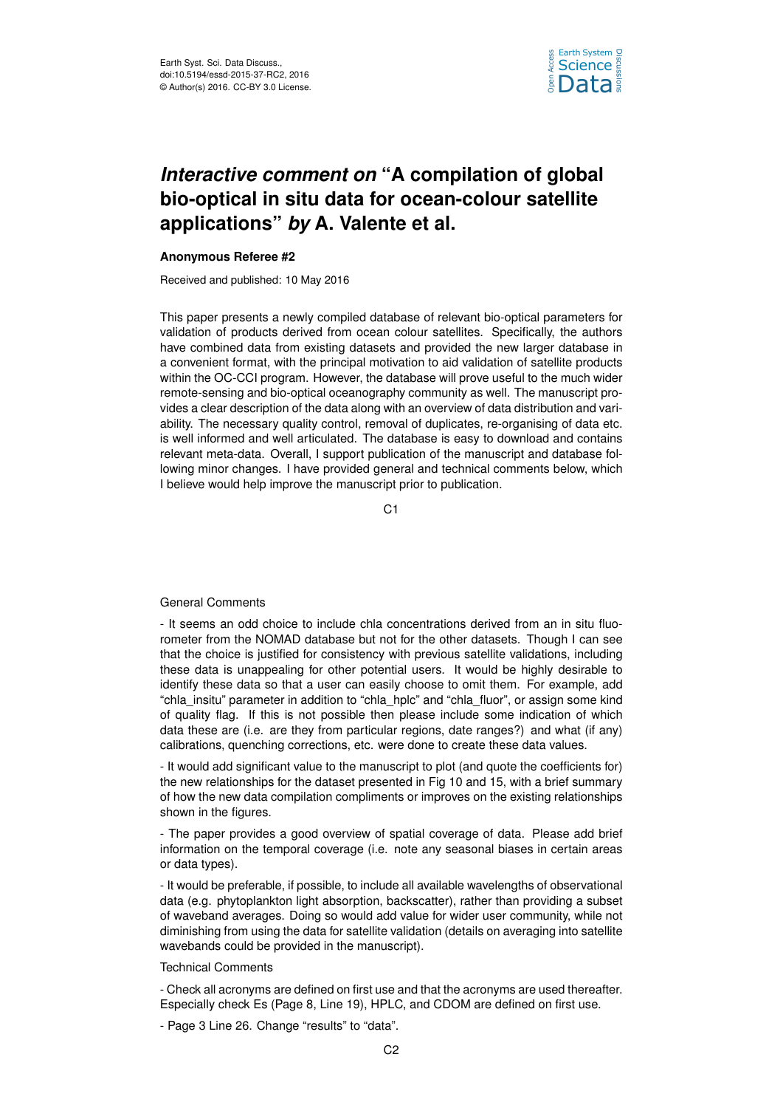

## *Interactive comment on* **"A compilation of global bio-optical in situ data for ocean-colour satellite applications"** *by* **A. Valente et al.**

## **Anonymous Referee #2**

Received and published: 10 May 2016

This paper presents a newly compiled database of relevant bio-optical parameters for validation of products derived from ocean colour satellites. Specifically, the authors have combined data from existing datasets and provided the new larger database in a convenient format, with the principal motivation to aid validation of satellite products within the OC-CCI program. However, the database will prove useful to the much wider remote-sensing and bio-optical oceanography community as well. The manuscript provides a clear description of the data along with an overview of data distribution and variability. The necessary quality control, removal of duplicates, re-organising of data etc. is well informed and well articulated. The database is easy to download and contains relevant meta-data. Overall, I support publication of the manuscript and database following minor changes. I have provided general and technical comments below, which I believe would help improve the manuscript prior to publication.

C<sub>1</sub>

## General Comments

- It seems an odd choice to include chla concentrations derived from an in situ fluorometer from the NOMAD database but not for the other datasets. Though I can see that the choice is justified for consistency with previous satellite validations, including these data is unappealing for other potential users. It would be highly desirable to identify these data so that a user can easily choose to omit them. For example, add "chla\_insitu" parameter in addition to "chla\_hplc" and "chla\_fluor", or assign some kind of quality flag. If this is not possible then please include some indication of which data these are (i.e. are they from particular regions, date ranges?) and what (if any) calibrations, quenching corrections, etc. were done to create these data values.

- It would add significant value to the manuscript to plot (and quote the coefficients for) the new relationships for the dataset presented in Fig 10 and 15, with a brief summary of how the new data compilation compliments or improves on the existing relationships shown in the figures.

- The paper provides a good overview of spatial coverage of data. Please add brief information on the temporal coverage (i.e. note any seasonal biases in certain areas or data types).

- It would be preferable, if possible, to include all available wavelengths of observational data (e.g. phytoplankton light absorption, backscatter), rather than providing a subset of waveband averages. Doing so would add value for wider user community, while not diminishing from using the data for satellite validation (details on averaging into satellite wavebands could be provided in the manuscript).

## Technical Comments

- Check all acronyms are defined on first use and that the acronyms are used thereafter. Especially check Es (Page 8, Line 19), HPLC, and CDOM are defined on first use.

- Page 3 Line 26. Change "results" to "data".